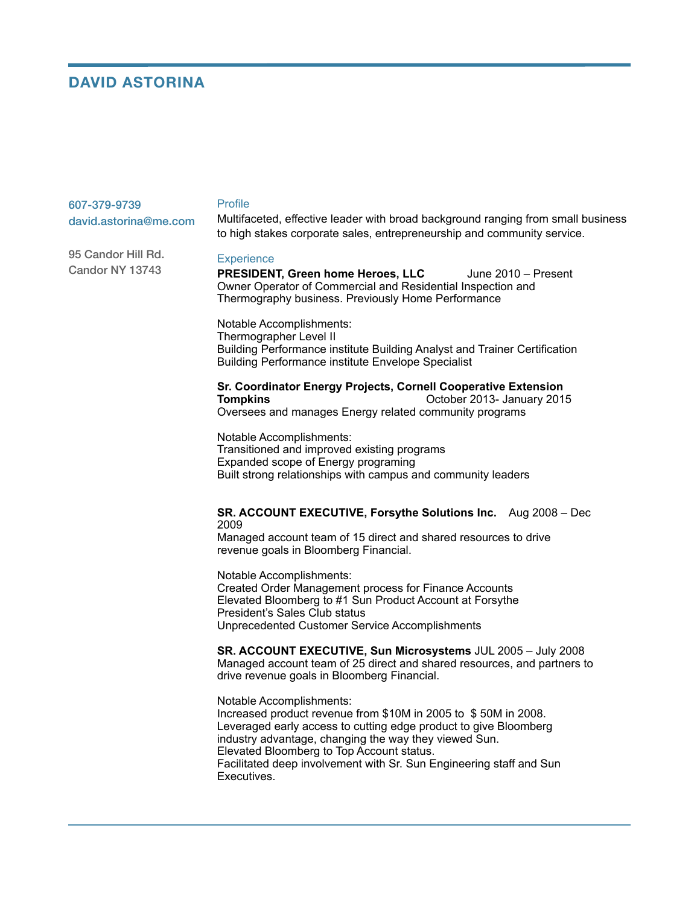# **DAVID ASTORINA**

95 Candor Hill Rd. Candor NY 13743

| 607-379-9739          | Profile                                                                          |
|-----------------------|----------------------------------------------------------------------------------|
| david.astorina@me.com | Multifaceted, effective leader with broad background ranging from small business |
|                       | to high stakes corporate sales, entrepreneurship and community service.          |

#### **Experience**

#### **PRESIDENT, Green home Heroes, LLC** June 2010 – Present Owner Operator of Commercial and Residential Inspection and Thermography business. Previously Home Performance

Notable Accomplishments: Thermographer Level II Building Performance institute Building Analyst and Trainer Certification Building Performance institute Envelope Specialist

## **Sr. Coordinator Energy Projects, Cornell Cooperative Extension Tompkins Company Company Company Company Company Company Company Company Company Company Company Company Company Company Company Company Company Company Company Company Company**

Oversees and manages Energy related community programs

Notable Accomplishments: Transitioned and improved existing programs Expanded scope of Energy programing Built strong relationships with campus and community leaders

## **SR. ACCOUNT EXECUTIVE, Forsythe Solutions Inc.** Aug 2008 – Dec 2009

Managed account team of 15 direct and shared resources to drive revenue goals in Bloomberg Financial.

Notable Accomplishments: Created Order Management process for Finance Accounts Elevated Bloomberg to #1 Sun Product Account at Forsythe President's Sales Club status Unprecedented Customer Service Accomplishments

**SR. ACCOUNT EXECUTIVE, Sun Microsystems** JUL 2005 – July 2008 Managed account team of 25 direct and shared resources, and partners to drive revenue goals in Bloomberg Financial.

Notable Accomplishments: Increased product revenue from \$10M in 2005 to \$ 50M in 2008. Leveraged early access to cutting edge product to give Bloomberg industry advantage, changing the way they viewed Sun. Elevated Bloomberg to Top Account status. Facilitated deep involvement with Sr. Sun Engineering staff and Sun Executives.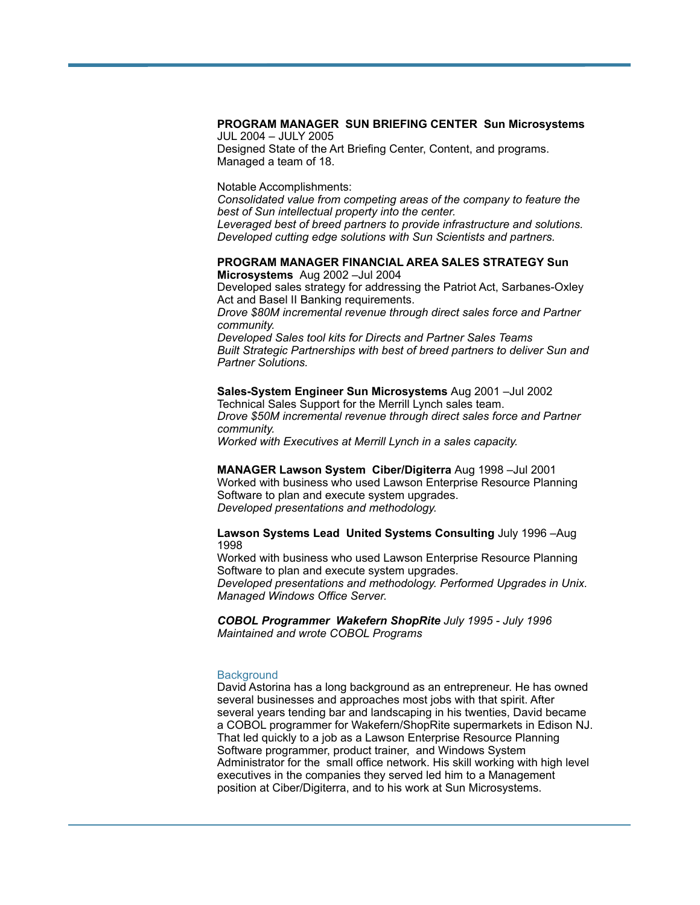#### **PROGRAM MANAGER SUN BRIEFING CENTER Sun Microsystems**  JUL 2004 – JULY 2005

Designed State of the Art Briefing Center, Content, and programs. Managed a team of 18.

Notable Accomplishments:

*Consolidated value from competing areas of the company to feature the best of Sun intellectual property into the center.* 

*Leveraged best of breed partners to provide infrastructure and solutions. Developed cutting edge solutions with Sun Scientists and partners.* 

#### **PROGRAM MANAGER FINANCIAL AREA SALES STRATEGY Sun Microsystems** Aug 2002 –Jul 2004

Developed sales strategy for addressing the Patriot Act, Sarbanes-Oxley Act and Basel II Banking requirements.

*Drove \$80M incremental revenue through direct sales force and Partner community.* 

*Developed Sales tool kits for Directs and Partner Sales Teams Built Strategic Partnerships with best of breed partners to deliver Sun and Partner Solutions.* 

#### **Sales-System Engineer Sun Microsystems** Aug 2001 –Jul 2002 Technical Sales Support for the Merrill Lynch sales team. *Drove \$50M incremental revenue through direct sales force and Partner community.*

*Worked with Executives at Merrill Lynch in a sales capacity.*

## **MANAGER Lawson System Ciber/Digiterra** Aug 1998 –Jul 2001 Worked with business who used Lawson Enterprise Resource Planning Software to plan and execute system upgrades. *Developed presentations and methodology.*

#### **Lawson Systems Lead United Systems Consulting** July 1996 –Aug 1998

Worked with business who used Lawson Enterprise Resource Planning Software to plan and execute system upgrades. *Developed presentations and methodology. Performed Upgrades in Unix. Managed Windows Office Server.* 

*COBOL Programmer Wakefern ShopRite July 1995 - July 1996 Maintained and wrote COBOL Programs* 

## **Background**

David Astorina has a long background as an entrepreneur. He has owned several businesses and approaches most jobs with that spirit. After several years tending bar and landscaping in his twenties, David became a COBOL programmer for Wakefern/ShopRite supermarkets in Edison NJ. That led quickly to a job as a Lawson Enterprise Resource Planning Software programmer, product trainer, and Windows System Administrator for the small office network. His skill working with high level executives in the companies they served led him to a Management position at Ciber/Digiterra, and to his work at Sun Microsystems.